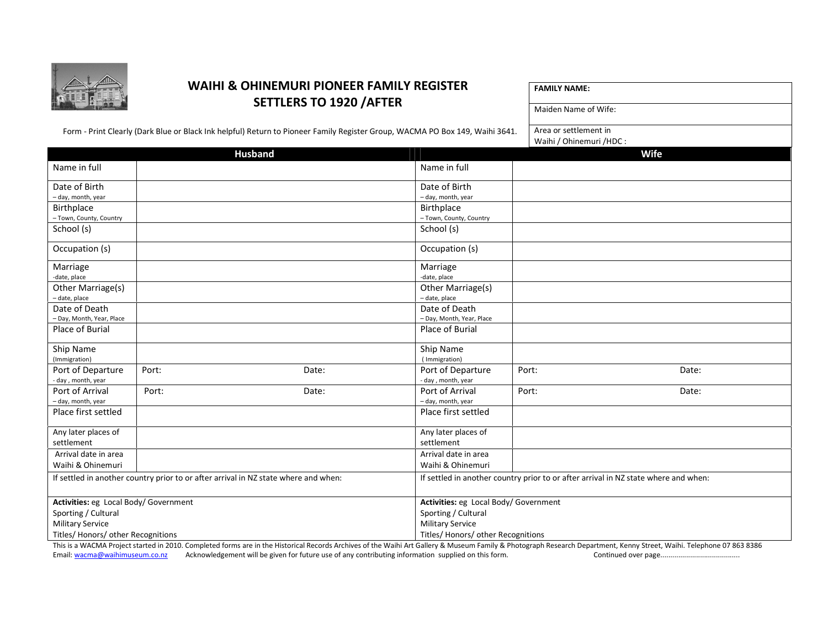

## WAIHI & OHINEMURI PIONEER FAMILY REGISTER SETTLERS TO 1920 /AFTER

| <b>FAMILY NAME:</b> |
|---------------------|
|---------------------|

Form - Print Clearly (Dark Blue or Black Ink helpful) Return to Pioneer Family Register Group, WACMA PO Box 149, Waihi 3641.

Area or settlement in Waihi / Ohinemuri /HDC :

Maiden Name of Wife:

| <b>Husband</b><br>Wife<br>Name in full<br>Name in full<br>Date of Birth<br>Date of Birth<br>- day, month, year<br>- day, month, year<br>Birthplace<br>Birthplace<br>- Town, County, Country<br>- Town, County, Country<br>School (s)<br>School (s)<br>Occupation (s)<br>Occupation (s)<br>Marriage<br>Marriage<br>-date, place<br>-date, place<br>Other Marriage(s)<br>Other Marriage(s)<br>- date, place<br>- date, place<br>Date of Death<br>Date of Death<br>- Day, Month, Year, Place<br>- Day, Month, Year, Place<br>Place of Burial<br>Place of Burial<br>Ship Name<br>Ship Name<br>(Immigration)<br>(Immigration)<br>Port of Departure<br>Port:<br>Port of Departure<br>Date:<br>Port:<br>Date:<br>- day, month, year<br>- day, month, year<br>Port of Arrival<br>Port of Arrival<br>Port:<br>Date:<br>Port:<br>Date:<br>- day, month, year<br>- day, month, year<br>Place first settled<br>Place first settled<br>Any later places of<br>Any later places of<br>settlement<br>settlement<br>Arrival date in area<br>Arrival date in area<br>Waihi & Ohinemuri<br>Waihi & Ohinemuri<br>If settled in another country prior to or after arrival in NZ state where and when:<br>If settled in another country prior to or after arrival in NZ state where and when: |                                    |  | $v$ allii / Ulliiteiliuli / IIDC. |                                       |  |  |  |
|--------------------------------------------------------------------------------------------------------------------------------------------------------------------------------------------------------------------------------------------------------------------------------------------------------------------------------------------------------------------------------------------------------------------------------------------------------------------------------------------------------------------------------------------------------------------------------------------------------------------------------------------------------------------------------------------------------------------------------------------------------------------------------------------------------------------------------------------------------------------------------------------------------------------------------------------------------------------------------------------------------------------------------------------------------------------------------------------------------------------------------------------------------------------------------------------------------------------------------------------------------------------------|------------------------------------|--|-----------------------------------|---------------------------------------|--|--|--|
|                                                                                                                                                                                                                                                                                                                                                                                                                                                                                                                                                                                                                                                                                                                                                                                                                                                                                                                                                                                                                                                                                                                                                                                                                                                                          |                                    |  |                                   |                                       |  |  |  |
|                                                                                                                                                                                                                                                                                                                                                                                                                                                                                                                                                                                                                                                                                                                                                                                                                                                                                                                                                                                                                                                                                                                                                                                                                                                                          |                                    |  |                                   |                                       |  |  |  |
|                                                                                                                                                                                                                                                                                                                                                                                                                                                                                                                                                                                                                                                                                                                                                                                                                                                                                                                                                                                                                                                                                                                                                                                                                                                                          |                                    |  |                                   |                                       |  |  |  |
|                                                                                                                                                                                                                                                                                                                                                                                                                                                                                                                                                                                                                                                                                                                                                                                                                                                                                                                                                                                                                                                                                                                                                                                                                                                                          |                                    |  |                                   |                                       |  |  |  |
|                                                                                                                                                                                                                                                                                                                                                                                                                                                                                                                                                                                                                                                                                                                                                                                                                                                                                                                                                                                                                                                                                                                                                                                                                                                                          |                                    |  |                                   |                                       |  |  |  |
|                                                                                                                                                                                                                                                                                                                                                                                                                                                                                                                                                                                                                                                                                                                                                                                                                                                                                                                                                                                                                                                                                                                                                                                                                                                                          |                                    |  |                                   |                                       |  |  |  |
|                                                                                                                                                                                                                                                                                                                                                                                                                                                                                                                                                                                                                                                                                                                                                                                                                                                                                                                                                                                                                                                                                                                                                                                                                                                                          |                                    |  |                                   |                                       |  |  |  |
|                                                                                                                                                                                                                                                                                                                                                                                                                                                                                                                                                                                                                                                                                                                                                                                                                                                                                                                                                                                                                                                                                                                                                                                                                                                                          |                                    |  |                                   |                                       |  |  |  |
|                                                                                                                                                                                                                                                                                                                                                                                                                                                                                                                                                                                                                                                                                                                                                                                                                                                                                                                                                                                                                                                                                                                                                                                                                                                                          |                                    |  |                                   |                                       |  |  |  |
|                                                                                                                                                                                                                                                                                                                                                                                                                                                                                                                                                                                                                                                                                                                                                                                                                                                                                                                                                                                                                                                                                                                                                                                                                                                                          |                                    |  |                                   |                                       |  |  |  |
|                                                                                                                                                                                                                                                                                                                                                                                                                                                                                                                                                                                                                                                                                                                                                                                                                                                                                                                                                                                                                                                                                                                                                                                                                                                                          |                                    |  |                                   |                                       |  |  |  |
|                                                                                                                                                                                                                                                                                                                                                                                                                                                                                                                                                                                                                                                                                                                                                                                                                                                                                                                                                                                                                                                                                                                                                                                                                                                                          |                                    |  |                                   |                                       |  |  |  |
|                                                                                                                                                                                                                                                                                                                                                                                                                                                                                                                                                                                                                                                                                                                                                                                                                                                                                                                                                                                                                                                                                                                                                                                                                                                                          |                                    |  |                                   |                                       |  |  |  |
|                                                                                                                                                                                                                                                                                                                                                                                                                                                                                                                                                                                                                                                                                                                                                                                                                                                                                                                                                                                                                                                                                                                                                                                                                                                                          |                                    |  |                                   |                                       |  |  |  |
|                                                                                                                                                                                                                                                                                                                                                                                                                                                                                                                                                                                                                                                                                                                                                                                                                                                                                                                                                                                                                                                                                                                                                                                                                                                                          |                                    |  |                                   |                                       |  |  |  |
|                                                                                                                                                                                                                                                                                                                                                                                                                                                                                                                                                                                                                                                                                                                                                                                                                                                                                                                                                                                                                                                                                                                                                                                                                                                                          |                                    |  |                                   |                                       |  |  |  |
|                                                                                                                                                                                                                                                                                                                                                                                                                                                                                                                                                                                                                                                                                                                                                                                                                                                                                                                                                                                                                                                                                                                                                                                                                                                                          |                                    |  |                                   |                                       |  |  |  |
|                                                                                                                                                                                                                                                                                                                                                                                                                                                                                                                                                                                                                                                                                                                                                                                                                                                                                                                                                                                                                                                                                                                                                                                                                                                                          |                                    |  |                                   |                                       |  |  |  |
|                                                                                                                                                                                                                                                                                                                                                                                                                                                                                                                                                                                                                                                                                                                                                                                                                                                                                                                                                                                                                                                                                                                                                                                                                                                                          |                                    |  |                                   |                                       |  |  |  |
|                                                                                                                                                                                                                                                                                                                                                                                                                                                                                                                                                                                                                                                                                                                                                                                                                                                                                                                                                                                                                                                                                                                                                                                                                                                                          |                                    |  |                                   |                                       |  |  |  |
|                                                                                                                                                                                                                                                                                                                                                                                                                                                                                                                                                                                                                                                                                                                                                                                                                                                                                                                                                                                                                                                                                                                                                                                                                                                                          |                                    |  |                                   |                                       |  |  |  |
|                                                                                                                                                                                                                                                                                                                                                                                                                                                                                                                                                                                                                                                                                                                                                                                                                                                                                                                                                                                                                                                                                                                                                                                                                                                                          |                                    |  |                                   |                                       |  |  |  |
|                                                                                                                                                                                                                                                                                                                                                                                                                                                                                                                                                                                                                                                                                                                                                                                                                                                                                                                                                                                                                                                                                                                                                                                                                                                                          |                                    |  |                                   |                                       |  |  |  |
|                                                                                                                                                                                                                                                                                                                                                                                                                                                                                                                                                                                                                                                                                                                                                                                                                                                                                                                                                                                                                                                                                                                                                                                                                                                                          |                                    |  |                                   |                                       |  |  |  |
|                                                                                                                                                                                                                                                                                                                                                                                                                                                                                                                                                                                                                                                                                                                                                                                                                                                                                                                                                                                                                                                                                                                                                                                                                                                                          |                                    |  |                                   |                                       |  |  |  |
|                                                                                                                                                                                                                                                                                                                                                                                                                                                                                                                                                                                                                                                                                                                                                                                                                                                                                                                                                                                                                                                                                                                                                                                                                                                                          |                                    |  |                                   |                                       |  |  |  |
|                                                                                                                                                                                                                                                                                                                                                                                                                                                                                                                                                                                                                                                                                                                                                                                                                                                                                                                                                                                                                                                                                                                                                                                                                                                                          |                                    |  |                                   |                                       |  |  |  |
| Activities: eg Local Body/ Government                                                                                                                                                                                                                                                                                                                                                                                                                                                                                                                                                                                                                                                                                                                                                                                                                                                                                                                                                                                                                                                                                                                                                                                                                                    |                                    |  |                                   | Activities: eg Local Body/ Government |  |  |  |
| Sporting / Cultural<br>Sporting / Cultural                                                                                                                                                                                                                                                                                                                                                                                                                                                                                                                                                                                                                                                                                                                                                                                                                                                                                                                                                                                                                                                                                                                                                                                                                               |                                    |  |                                   |                                       |  |  |  |
|                                                                                                                                                                                                                                                                                                                                                                                                                                                                                                                                                                                                                                                                                                                                                                                                                                                                                                                                                                                                                                                                                                                                                                                                                                                                          | Military Service                   |  | <b>Military Service</b>           |                                       |  |  |  |
|                                                                                                                                                                                                                                                                                                                                                                                                                                                                                                                                                                                                                                                                                                                                                                                                                                                                                                                                                                                                                                                                                                                                                                                                                                                                          | Titles/ Honors/ other Recognitions |  |                                   | Titles/ Honors/ other Recognitions    |  |  |  |
|                                                                                                                                                                                                                                                                                                                                                                                                                                                                                                                                                                                                                                                                                                                                                                                                                                                                                                                                                                                                                                                                                                                                                                                                                                                                          |                                    |  |                                   |                                       |  |  |  |

This is a WACMA Project started in 2010. Completed forms are in the Historical Records Archives of the Waihi Art Gallery & Museum Family & Photograph Research Department, Kenny Street, Waihi. Telephone 07 863 8386 Email: wacma@waihimuseum.co.nz Acknowledgement will be given for future use of any contributing information supplied on this form. Continued over page........................................